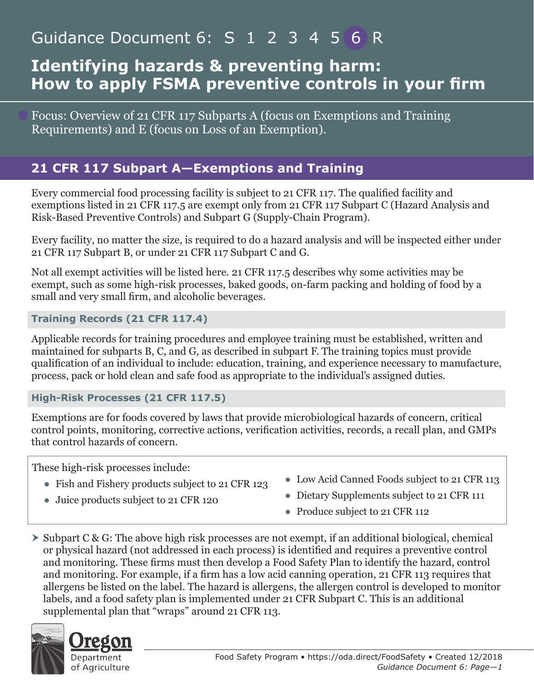# Guidance Document 6: S 1 2 3 4 5 6 R

## **Identifying hazards & preventing harm: How to apply FSMA preventive controls in your firm**

Focus: Overview of 21 CFR 117 Subparts A (focus on Exemptions and Training Requirements) and E (focus on Loss of an Exemption).

## **21 CFR 117 Subpart A—Exemptions and Training**

Every commercial food processing facility is subject to 21 CFR 117. The qualified facility and exemptions listed in 21 CFR 117.5 are exempt only from 21 CFR 117 Subpart C (Hazard Analysis and Risk-Based Preventive Controls) and Subpart G (Supply-Chain Program).

Every facility, no matter the size, is required to do a hazard analysis and will be inspected either under 21 CFR 117 Subpart B, or under 21 CFR 117 Subpart C and G.

Not all exempt activities will be listed here. 21 CFR 117.5 describes why some activities may be exempt, such as some high-risk processes, baked goods, on-farm packing and holding of food by a small and very small firm, and alcoholic beverages.

#### **Training Records (21 CFR 117.4)**

Applicable records for training procedures and employee training must be established, written and maintained for subparts B, C, and G, as described in subpart F. The training topics must provide qualification of an individual to include: education, training, and experience necessary to manufacture, process, pack or hold clean and safe food as appropriate to the individual's assigned duties.

#### **High-Risk Processes (21 CFR 117.5)**

Exemptions are for foods covered by laws that provide microbiological hazards of concern, critical control points, monitoring, corrective actions, verification activities, records, a recall plan, and GMPs that control hazards of concern.

These high-risk processes include:

- Fish and Fishery products subject to 21 CFR 123
- Juice products subject to 21 CFR 120
- Low Acid Canned Foods subject to 21 CFR 113
- Dietary Supplements subject to 21 CFR 111
- Produce subject to 21 CFR 112
- $\triangleright$  Subpart C & G: The above high risk processes are not exempt, if an additional biological, chemical or physical hazard (not addressed in each process) is identified and requires a preventive control and monitoring. These firms must then develop a Food Safety Plan to identify the hazard, control and monitoring. For example, if a firm has a low acid canning operation, 21 CFR 113 requires that allergens be listed on the label. The hazard is allergens, the allergen control is developed to monitor labels, and a food safety plan is implemented under 21 CFR Subpart C. This is an additional supplemental plan that "wraps" around 21 CFR 113.

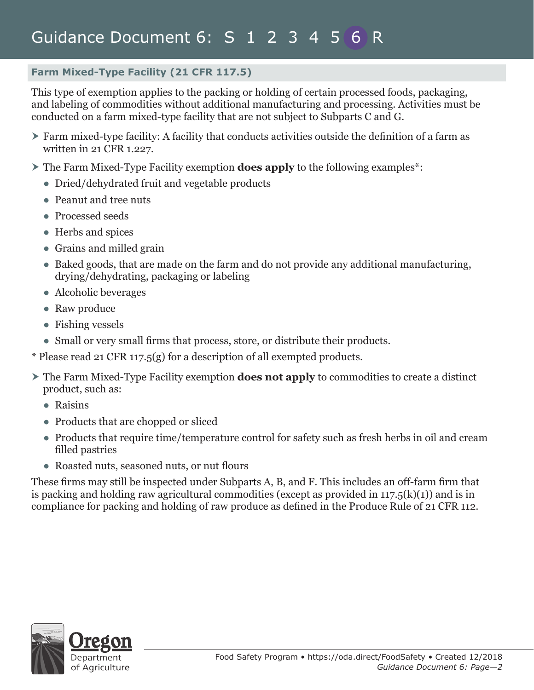#### **Farm Mixed-Type Facility (21 CFR 117.5)**

This type of exemption applies to the packing or holding of certain processed foods, packaging, and labeling of commodities without additional manufacturing and processing. Activities must be conducted on a farm mixed-type facility that are not subject to Subparts C and G.

- Farm mixed-type facility: A facility that conducts activities outside the definition of a farm as written in 21 CFR 1.227.
- The Farm Mixed-Type Facility exemption **does apply** to the following examples\*:
	- Dried/dehydrated fruit and vegetable products
	- Peanut and tree nuts
	- Processed seeds
	- Herbs and spices
	- Grains and milled grain
	- Baked goods, that are made on the farm and do not provide any additional manufacturing, drying/dehydrating, packaging or labeling
	- Alcoholic beverages
	- Raw produce
	- Fishing vessels
	- Small or very small firms that process, store, or distribute their products.
- \* Please read 21 CFR 117.5(g) for a description of all exempted products.
- The Farm Mixed-Type Facility exemption **does not apply** to commodities to create a distinct product, such as:
	- Raisins
	- Products that are chopped or sliced
	- Products that require time/temperature control for safety such as fresh herbs in oil and cream filled pastries
	- Roasted nuts, seasoned nuts, or nut flours

These firms may still be inspected under Subparts A, B, and F. This includes an off-farm firm that is packing and holding raw agricultural commodities (except as provided in 117.5(k)(1)) and is in compliance for packing and holding of raw produce as defined in the Produce Rule of 21 CFR 112.